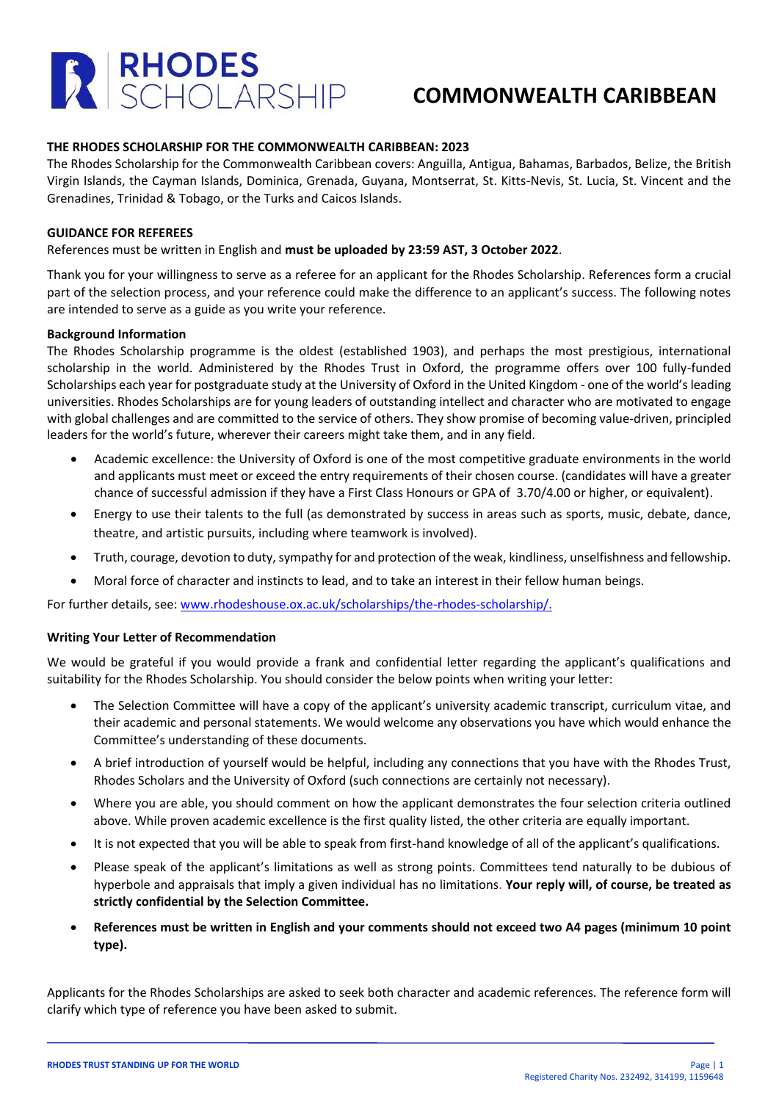

## **COMMONWEALTH CARIBBEAN**

### **THE RHODES SCHOLARSHIP FOR THE COMMONWEALTH CARIBBEAN: 2023**

The Rhodes Scholarship for the Commonwealth Caribbean covers: Anguilla, Antigua, Bahamas, Barbados, Belize, the British Virgin Islands, the Cayman Islands, Dominica, Grenada, Guyana, Montserrat, St. Kitts-Nevis, St. Lucia, St. Vincent and the Grenadines, Trinidad & Tobago, or the Turks and Caicos Islands.

### **GUIDANCE FOR REFEREES**

### References must be written in English and **must be uploaded by 23:59 AST, 3 October 2022**.

Thank you for your willingness to serve as a referee for an applicant for the Rhodes Scholarship. References form a crucial part of the selection process, and your reference could make the difference to an applicant's success. The following notes are intended to serve as a guide as you write your reference.

#### **Background Information**

The Rhodes Scholarship programme is the oldest (established 1903), and perhaps the most prestigious, international scholarship in the world. Administered by the Rhodes Trust in Oxford, the programme offers over 100 fully-funded Scholarships each year for postgraduate study at the University of Oxford in the United Kingdom - one of the world's leading universities. Rhodes Scholarships are for young leaders of outstanding intellect and character who are motivated to engage with global challenges and are committed to the service of others. They show promise of becoming value-driven, principled leaders for the world's future, wherever their careers might take them, and in any field.

- Academic excellence: the University of Oxford is one of the most competitive graduate environments in the world and applicants must meet or exceed the entry requirements of their chosen course. (candidates will have a greater chance of successful admission if they have a First Class Honours or GPA of 3.70/4.00 or higher, or equivalent).
- Energy to use their talents to the full (as demonstrated by success in areas such as sports, music, debate, dance, theatre, and artistic pursuits, including where teamwork is involved).
- Truth, courage, devotion to duty, sympathy for and protection of the weak, kindliness, unselfishness and fellowship.
- Moral force of character and instincts to lead, and to take an interest in their fellow human beings.

For further details, see: [www.rhodeshouse.ox.ac.uk/scholarships/the-rhodes-scholarship/.](http://www.rhodeshouse.ox.ac.uk/scholarships/the-rhodes-scholarship/)

### **Writing Your Letter of Recommendation**

We would be grateful if you would provide a frank and confidential letter regarding the applicant's qualifications and suitability for the Rhodes Scholarship. You should consider the below points when writing your letter:

- The Selection Committee will have a copy of the applicant's university academic transcript, curriculum vitae, and their academic and personal statements. We would welcome any observations you have which would enhance the Committee's understanding of these documents.
- A brief introduction of yourself would be helpful, including any connections that you have with the Rhodes Trust, Rhodes Scholars and the University of Oxford (such connections are certainly not necessary).
- Where you are able, you should comment on how the applicant demonstrates the four selection criteria outlined above. While proven academic excellence is the first quality listed, the other criteria are equally important.
- It is not expected that you will be able to speak from first-hand knowledge of all of the applicant's qualifications.
- Please speak of the applicant's limitations as well as strong points. Committees tend naturally to be dubious of hyperbole and appraisals that imply a given individual has no limitations. **Your reply will, of course, be treated as strictly confidential by the Selection Committee.**
- **References must be written in English and your comments should not exceed two A4 pages (minimum 10 point type).**

Applicants for the Rhodes Scholarships are asked to seek both character and academic references. The reference form will clarify which type of reference you have been asked to submit.